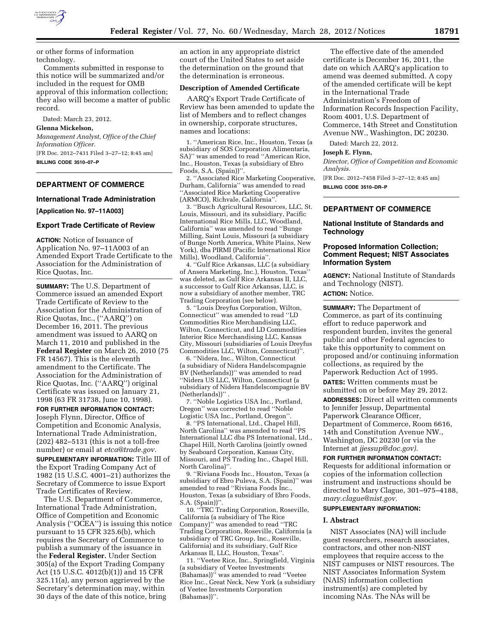

or other forms of information technology.

Comments submitted in response to this notice will be summarized and/or included in the request for OMB approval of this information collection; they also will become a matter of public record.

Dated: March 23, 2012.

## **Glenna Mickelson,**

*Management Analyst, Office of the Chief Information Officer.*  [FR Doc. 2012–7431 Filed 3–27–12; 8:45 am] **BILLING CODE 3510–07–P** 

## **DEPARTMENT OF COMMERCE**

# **International Trade Administration**

**[Application No. 97–11A003]** 

### **Export Trade Certificate of Review**

**ACTION:** Notice of Issuance of Application No. 97–11A003 of an Amended Export Trade Certificate to the Association for the Administration of Rice Quotas, Inc.

**SUMMARY:** The U.S. Department of Commerce issued an amended Export Trade Certificate of Review to the Association for the Administration of Rice Quotas, Inc., (''AARQ'') on December 16, 2011. The previous amendment was issued to AARQ on March 11, 2010 and published in the **Federal Register** on March 26, 2010 (75 FR 14567). This is the eleventh amendment to the Certificate. The Association for the Administration of Rice Quotas, Inc. (''AARQ'') original Certificate was issued on January 21, 1998 (63 FR 31738, June 10, 1998).

**FOR FURTHER INFORMATION CONTACT:**  Joseph Flynn, Director, Office of Competition and Economic Analysis, International Trade Administration, (202) 482–5131 (this is not a toll-free number) or email at *[etca@trade.gov.](mailto:etca@trade.gov)* 

**SUPPLEMENTARY INFORMATION:** Title III of the Export Trading Company Act of 1982 (15 U.S.C. 4001–21) authorizes the Secretary of Commerce to issue Export Trade Certificates of Review.

The U.S. Department of Commerce, International Trade Administration, Office of Competition and Economic Analysis (''OCEA'') is issuing this notice pursuant to 15 CFR 325.6(b), which requires the Secretary of Commerce to publish a summary of the issuance in the **Federal Register.** Under Section 305(a) of the Export Trading Company Act (15 U.S.C. 4012(b)(1)) and 15 CFR 325.11(a), any person aggrieved by the Secretary's determination may, within 30 days of the date of this notice, bring

an action in any appropriate district court of the United States to set aside the determination on the ground that the determination is erroneous.

### **Description of Amended Certificate**

AARQ's Export Trade Certificate of Review has been amended to update the list of Members and to reflect changes in ownership, corporate structures, names and locations:

1. ''American Rice, Inc., Houston, Texas (a subsidiary of SOS Corporation Alimentaria, SA)'' was amended to read ''American Rice, Inc., Houston, Texas (a subsidiary of Ebro Foods, S.A. (Spain))''.

2. ''Associated Rice Marketing Cooperative, Durham, California'' was amended to read ''Associated Rice Marketing Cooperative (ARMCO), Richvale, California''.

3. ''Busch Agricultural Resources, LLC, St. Louis, Missouri, and its subsidiary, Pacific International Rice Mills, LLC, Woodland, California'' was amended to read ''Bunge Milling, Saint Louis, Missouri (a subsidiary of Bunge North America, White Plains, New York), dba PIRMI (Pacific International Rice Mills), Woodland, California''.

4. ''Gulf Rice Arkansas, LLC (a subsidiary of Ansera Marketing, Inc.), Houston, Texas'' was deleted, as Gulf Rice Arkansas II, LLC, a successor to Gulf Rice Arkansas, LLC, is now a subsidiary of another member, TRC Trading Corporation (see below).

5. ''Louis Dreyfus Corporation, Wilton, Connecticut'' was amended to read ''LD Commodities Rice Merchandising LLC, Wilton, Connecticut, and LD Commodities Interior Rice Merchandising LLC, Kansas City, Missouri (subsidiaries of Louis Dreyfus Commodities LLC, Wilton, Connecticut)''.

6. ''Nidera, Inc., Wilton, Connecticut (a subsidiary of Nidera Handelscompagnie BV (Netherlands))'' was amended to read ''Nidera US LLC, Wilton, Connecticut (a subsidiary of Nidera Handelscompagnie BV (Netherlands))"

7. ''Noble Logistics USA Inc., Portland, Oregon'' was corrected to read ''Noble Logistic USA Inc., Portland, Oregon''.

8. ''PS International, Ltd., Chapel Hill, North Carolina'' was amended to read ''PS International LLC dba PS International, Ltd., Chapel Hill, North Carolina (jointly owned by Seaboard Corporation, Kansas City, Missouri, and PS Trading Inc., Chapel Hill, North Carolina)''.

9. ''Riviana Foods Inc., Houston, Texas (a subsidiary of Ebro Puleva, S.A. (Spain)'' was amended to read ''Riviana Foods Inc., Houston, Texas (a subsidiary of Ebro Foods, S.A. (Spain))''.

10. ''TRC Trading Corporation, Roseville, California (a subsidiary of The Rice Company)'' was amended to read ''TRC Trading Corporation, Roseville, California (a subsidiary of TRC Group, Inc., Roseville, California) and its subsidiary, Gulf Rice Arkansas II, LLC, Houston, Texas''.

11. ''Veetee Rice, Inc., Springfield, Virginia (a subsidiary of Veetee Investments (Bahamas))'' was amended to read ''Veetee Rice Inc., Great Neck, New York (a subsidiary of Veetee Investments Corporation (Bahamas))''.

The effective date of the amended certificate is December 16, 2011, the date on which AARQ's application to amend was deemed submitted. A copy of the amended certificate will be kept in the International Trade Administration's Freedom of Information Records Inspection Facility, Room 4001, U.S. Department of Commerce, 14th Street and Constitution Avenue NW., Washington, DC 20230.

Dated: March 22, 2012.

#### **Joseph E. Flynn,**

*Director, Office of Competition and Economic Analysis.* 

[FR Doc. 2012–7458 Filed 3–27–12; 8:45 am] **BILLING CODE 3510–DR–P** 

## **DEPARTMENT OF COMMERCE**

### **National Institute of Standards and Technology**

### **Proposed Information Collection; Comment Request; NIST Associates Information System**

**AGENCY:** National Institute of Standards and Technology (NIST). **ACTION:** Notice.

**SUMMARY:** The Department of Commerce, as part of its continuing effort to reduce paperwork and respondent burden, invites the general public and other Federal agencies to take this opportunity to comment on proposed and/or continuing information collections, as required by the Paperwork Reduction Act of 1995.

**DATES:** Written comments must be submitted on or before May 29, 2012. **ADDRESSES:** Direct all written comments to Jennifer Jessup, Departmental Paperwork Clearance Officer, Department of Commerce, Room 6616, 14th and Constitution Avenue NW., Washington, DC 20230 (or via the Internet at *[jjessup@doc.gov\).](mailto:jjessup@doc.gov)* 

**FOR FURTHER INFORMATION CONTACT:**  Requests for additional information or copies of the information collection instrument and instructions should be directed to Mary Clague, 301–975–4188, *[mary.clague@nist.gov.](mailto:mary.clague@nist.gov)* 

# **SUPPLEMENTARY INFORMATION:**

# **I. Abstract**

NIST Associates (NA) will include guest researchers, research associates, contractors, and other non-NIST employees that require access to the NIST campuses or NIST resources. The NIST Associates Information System (NAIS) information collection instrument(s) are completed by incoming NAs. The NAs will be